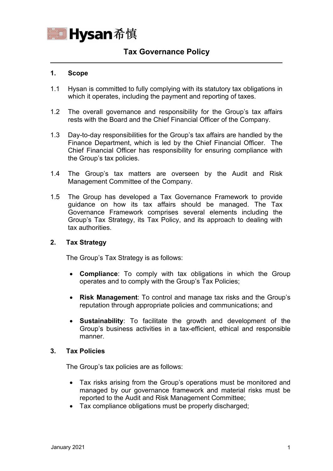

# **Tax Governance Policy**

### **1. Scope**

- 1.1 Hysan is committed to fully complying with its statutory tax obligations in which it operates, including the payment and reporting of taxes.
- 1.2 The overall governance and responsibility for the Group's tax affairs rests with the Board and the Chief Financial Officer of the Company.
- 1.3 Day-to-day responsibilities for the Group's tax affairs are handled by the Finance Department, which is led by the Chief Financial Officer. The Chief Financial Officer has responsibility for ensuring compliance with the Group's tax policies.
- 1.4 The Group's tax matters are overseen by the Audit and Risk Management Committee of the Company.
- 1.5 The Group has developed a Tax Governance Framework to provide guidance on how its tax affairs should be managed. The Tax Governance Framework comprises several elements including the Group's Tax Strategy, its Tax Policy, and its approach to dealing with tax authorities.

#### **2. Tax Strategy**

The Group's Tax Strategy is as follows:

- **Compliance**: To comply with tax obligations in which the Group operates and to comply with the Group's Tax Policies;
- **Risk Management**: To control and manage tax risks and the Group's reputation through appropriate policies and communications; and
- **Sustainability**: To facilitate the growth and development of the Group's business activities in a tax-efficient, ethical and responsible manner.

#### **3. Tax Policies**

The Group's tax policies are as follows:

- Tax risks arising from the Group's operations must be monitored and managed by our governance framework and material risks must be reported to the Audit and Risk Management Committee;
- Tax compliance obligations must be properly discharged;